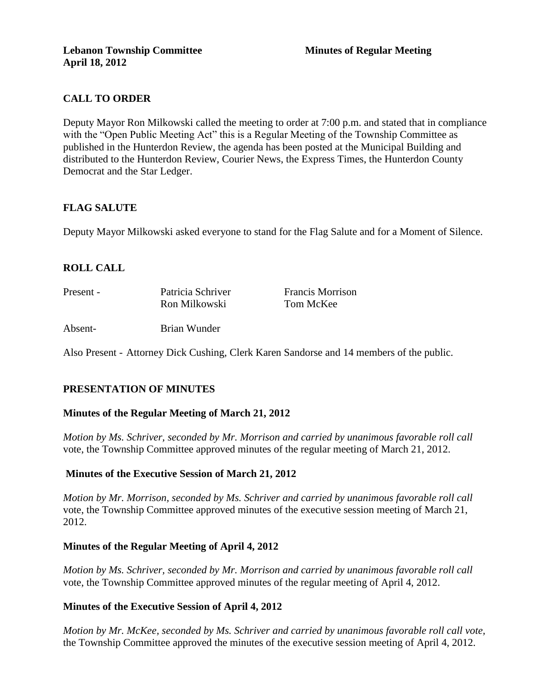# **CALL TO ORDER**

Deputy Mayor Ron Milkowski called the meeting to order at 7:00 p.m. and stated that in compliance with the "Open Public Meeting Act" this is a Regular Meeting of the Township Committee as published in the Hunterdon Review, the agenda has been posted at the Municipal Building and distributed to the Hunterdon Review, Courier News, the Express Times, the Hunterdon County Democrat and the Star Ledger.

# **FLAG SALUTE**

Deputy Mayor Milkowski asked everyone to stand for the Flag Salute and for a Moment of Silence.

# **ROLL CALL**

| Present - | Patricia Schriver | <b>Francis Morrison</b> |
|-----------|-------------------|-------------------------|
|           | Ron Milkowski     | Tom McKee               |
| Absent-   | Brian Wunder      |                         |

Also Present - Attorney Dick Cushing, Clerk Karen Sandorse and 14 members of the public.

# **PRESENTATION OF MINUTES**

#### **Minutes of the Regular Meeting of March 21, 2012**

*Motion by Ms. Schriver, seconded by Mr. Morrison and carried by unanimous favorable roll call*  vote, the Township Committee approved minutes of the regular meeting of March 21, 2012.

#### **Minutes of the Executive Session of March 21, 2012**

*Motion by Mr. Morrison, seconded by Ms. Schriver and carried by unanimous favorable roll call*  vote, the Township Committee approved minutes of the executive session meeting of March 21, 2012.

#### **Minutes of the Regular Meeting of April 4, 2012**

*Motion by Ms. Schriver, seconded by Mr. Morrison and carried by unanimous favorable roll call*  vote, the Township Committee approved minutes of the regular meeting of April 4, 2012.

#### **Minutes of the Executive Session of April 4, 2012**

*Motion by Mr. McKee, seconded by Ms. Schriver and carried by unanimous favorable roll call vote,* the Township Committee approved the minutes of the executive session meeting of April 4, 2012.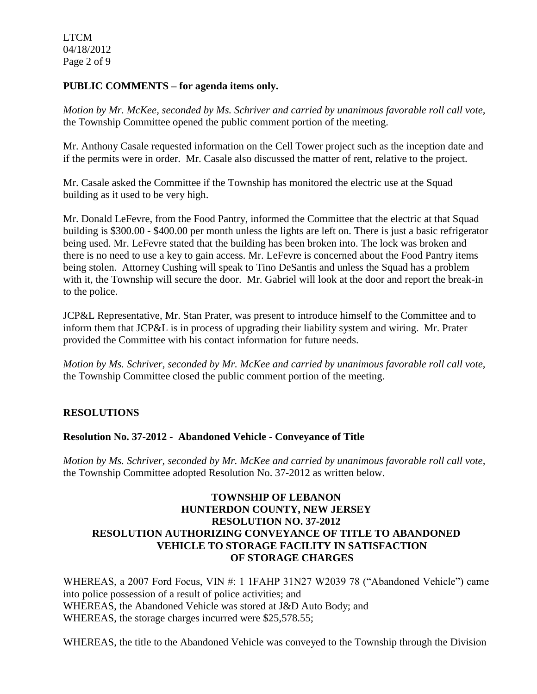LTCM 04/18/2012 Page 2 of 9

### **PUBLIC COMMENTS – for agenda items only.**

*Motion by Mr. McKee, seconded by Ms. Schriver and carried by unanimous favorable roll call vote,* the Township Committee opened the public comment portion of the meeting.

Mr. Anthony Casale requested information on the Cell Tower project such as the inception date and if the permits were in order. Mr. Casale also discussed the matter of rent, relative to the project.

Mr. Casale asked the Committee if the Township has monitored the electric use at the Squad building as it used to be very high.

Mr. Donald LeFevre, from the Food Pantry, informed the Committee that the electric at that Squad building is \$300.00 - \$400.00 per month unless the lights are left on. There is just a basic refrigerator being used. Mr. LeFevre stated that the building has been broken into. The lock was broken and there is no need to use a key to gain access. Mr. LeFevre is concerned about the Food Pantry items being stolen. Attorney Cushing will speak to Tino DeSantis and unless the Squad has a problem with it, the Township will secure the door. Mr. Gabriel will look at the door and report the break-in to the police.

JCP&L Representative, Mr. Stan Prater, was present to introduce himself to the Committee and to inform them that JCP&L is in process of upgrading their liability system and wiring. Mr. Prater provided the Committee with his contact information for future needs.

*Motion by Ms. Schriver, seconded by Mr. McKee and carried by unanimous favorable roll call vote,* the Township Committee closed the public comment portion of the meeting.

# **RESOLUTIONS**

# **Resolution No. 37-2012 - Abandoned Vehicle - Conveyance of Title**

*Motion by Ms. Schriver, seconded by Mr. McKee and carried by unanimous favorable roll call vote,* the Township Committee adopted Resolution No. 37-2012 as written below.

# **TOWNSHIP OF LEBANON HUNTERDON COUNTY, NEW JERSEY RESOLUTION NO. 37-2012 RESOLUTION AUTHORIZING CONVEYANCE OF TITLE TO ABANDONED VEHICLE TO STORAGE FACILITY IN SATISFACTION OF STORAGE CHARGES**

WHEREAS, a 2007 Ford Focus, VIN #: 1 1FAHP 31N27 W2039 78 ("Abandoned Vehicle") came into police possession of a result of police activities; and WHEREAS, the Abandoned Vehicle was stored at J&D Auto Body; and WHEREAS, the storage charges incurred were \$25,578.55;

WHEREAS, the title to the Abandoned Vehicle was conveyed to the Township through the Division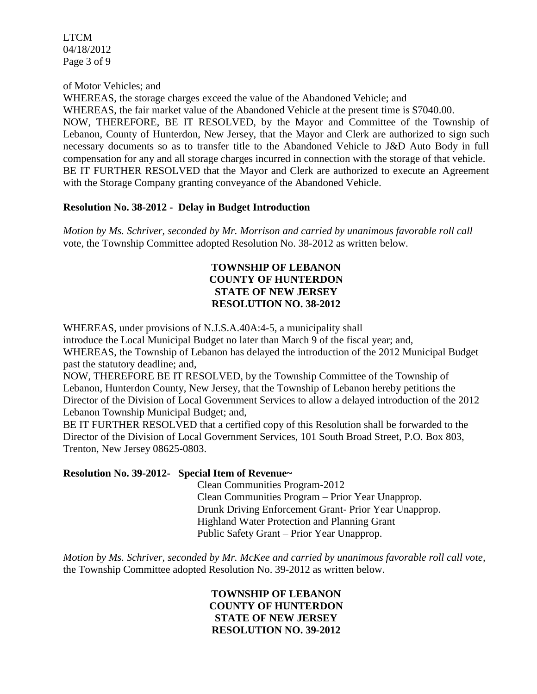LTCM 04/18/2012 Page 3 of 9

of Motor Vehicles; and

WHEREAS, the storage charges exceed the value of the Abandoned Vehicle; and WHEREAS, the fair market value of the Abandoned Vehicle at the present time is \$7040.00. NOW, THEREFORE, BE IT RESOLVED, by the Mayor and Committee of the Township of Lebanon, County of Hunterdon, New Jersey, that the Mayor and Clerk are authorized to sign such necessary documents so as to transfer title to the Abandoned Vehicle to J&D Auto Body in full compensation for any and all storage charges incurred in connection with the storage of that vehicle. BE IT FURTHER RESOLVED that the Mayor and Clerk are authorized to execute an Agreement with the Storage Company granting conveyance of the Abandoned Vehicle.

## **Resolution No. 38-2012 - Delay in Budget Introduction**

*Motion by Ms. Schriver, seconded by Mr. Morrison and carried by unanimous favorable roll call*  vote*,* the Township Committee adopted Resolution No. 38-2012 as written below.

## **TOWNSHIP OF LEBANON COUNTY OF HUNTERDON STATE OF NEW JERSEY RESOLUTION NO. 38-2012**

WHEREAS, under provisions of N.J.S.A.40A:4-5, a municipality shall

introduce the Local Municipal Budget no later than March 9 of the fiscal year; and, WHEREAS, the Township of Lebanon has delayed the introduction of the 2012 Municipal Budget past the statutory deadline; and,

NOW, THEREFORE BE IT RESOLVED, by the Township Committee of the Township of Lebanon, Hunterdon County, New Jersey, that the Township of Lebanon hereby petitions the Director of the Division of Local Government Services to allow a delayed introduction of the 2012 Lebanon Township Municipal Budget; and,

BE IT FURTHER RESOLVED that a certified copy of this Resolution shall be forwarded to the Director of the Division of Local Government Services, 101 South Broad Street, P.O. Box 803, Trenton, New Jersey 08625-0803.

# **Resolution No. 39-2012- Special Item of Revenue~**

 Clean Communities Program-2012 Clean Communities Program – Prior Year Unapprop. Drunk Driving Enforcement Grant- Prior Year Unapprop. Highland Water Protection and Planning Grant Public Safety Grant – Prior Year Unapprop.

*Motion by Ms. Schriver, seconded by Mr. McKee and carried by unanimous favorable roll call vote,* the Township Committee adopted Resolution No. 39-2012 as written below.

> **TOWNSHIP OF LEBANON COUNTY OF HUNTERDON STATE OF NEW JERSEY RESOLUTION NO. 39-2012**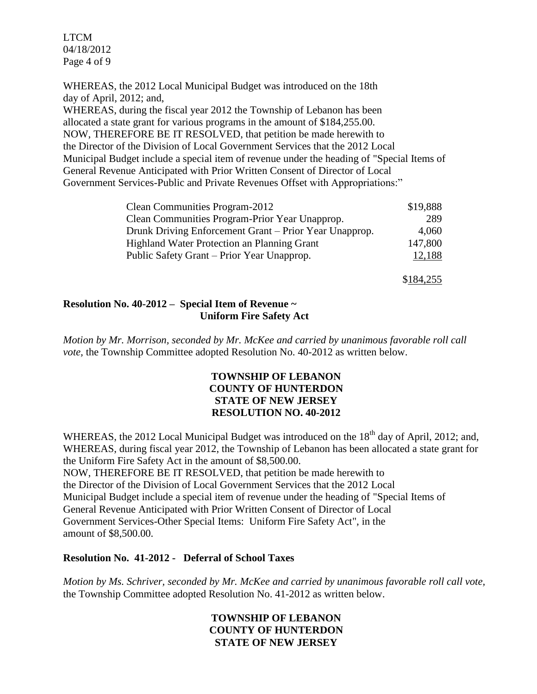LTCM 04/18/2012 Page 4 of 9

WHEREAS, the 2012 Local Municipal Budget was introduced on the 18th day of April, 2012; and,

WHEREAS, during the fiscal year 2012 the Township of Lebanon has been allocated a state grant for various programs in the amount of \$184,255.00. NOW, THEREFORE BE IT RESOLVED, that petition be made herewith to the Director of the Division of Local Government Services that the 2012 Local Municipal Budget include a special item of revenue under the heading of "Special Items of General Revenue Anticipated with Prior Written Consent of Director of Local Government Services-Public and Private Revenues Offset with Appropriations:"

| Clean Communities Program-2012                         | \$19,888 |
|--------------------------------------------------------|----------|
| Clean Communities Program-Prior Year Unapprop.         | 289      |
| Drunk Driving Enforcement Grant – Prior Year Unapprop. | 4,060    |
| <b>Highland Water Protection an Planning Grant</b>     | 147,800  |
| Public Safety Grant - Prior Year Unapprop.             | 12,188   |

\$184,255

## **Resolution No. 40-2012 – Special Item of Revenue ~ Uniform Fire Safety Act**

*Motion by Mr. Morrison, seconded by Mr. McKee and carried by unanimous favorable roll call vote,* the Township Committee adopted Resolution No. 40-2012 as written below.

### **TOWNSHIP OF LEBANON COUNTY OF HUNTERDON STATE OF NEW JERSEY RESOLUTION NO. 40-2012**

WHEREAS, the 2012 Local Municipal Budget was introduced on the 18<sup>th</sup> day of April, 2012; and, WHEREAS, during fiscal year 2012, the Township of Lebanon has been allocated a state grant for the Uniform Fire Safety Act in the amount of \$8,500.00.

NOW, THEREFORE BE IT RESOLVED, that petition be made herewith to the Director of the Division of Local Government Services that the 2012 Local Municipal Budget include a special item of revenue under the heading of "Special Items of General Revenue Anticipated with Prior Written Consent of Director of Local Government Services-Other Special Items: Uniform Fire Safety Act", in the amount of \$8,500.00.

#### **Resolution No. 41-2012 - Deferral of School Taxes**

*Motion by Ms. Schriver, seconded by Mr. McKee and carried by unanimous favorable roll call vote,* the Township Committee adopted Resolution No. 41-2012 as written below.

## **TOWNSHIP OF LEBANON COUNTY OF HUNTERDON STATE OF NEW JERSEY**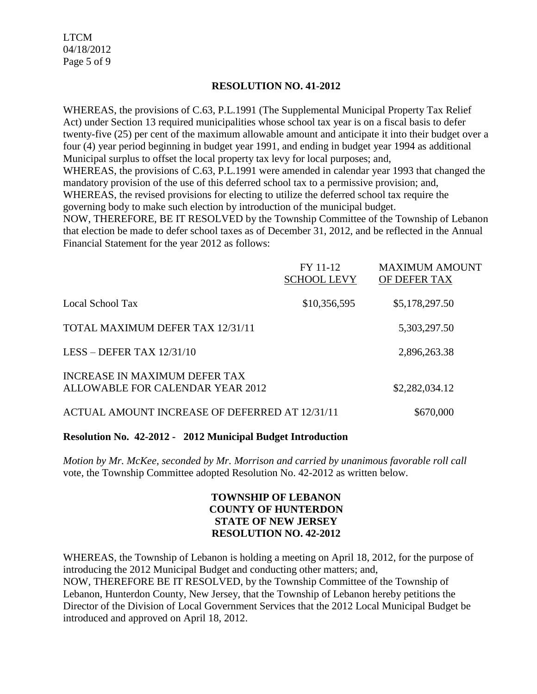LTCM 04/18/2012 Page 5 of 9

### **RESOLUTION NO. 41-2012**

WHEREAS, the provisions of C.63, P.L.1991 (The Supplemental Municipal Property Tax Relief Act) under Section 13 required municipalities whose school tax year is on a fiscal basis to defer twenty-five (25) per cent of the maximum allowable amount and anticipate it into their budget over a four (4) year period beginning in budget year 1991, and ending in budget year 1994 as additional Municipal surplus to offset the local property tax levy for local purposes; and, WHEREAS, the provisions of C.63, P.L.1991 were amended in calendar year 1993 that changed the mandatory provision of the use of this deferred school tax to a permissive provision; and, WHEREAS, the revised provisions for electing to utilize the deferred school tax require the governing body to make such election by introduction of the municipal budget. NOW, THEREFORE, BE IT RESOLVED by the Township Committee of the Township of Lebanon

that election be made to defer school taxes as of December 31, 2012, and be reflected in the Annual Financial Statement for the year 2012 as follows:

|                                                                   | FY 11-12<br><b>SCHOOL LEVY</b> | <b>MAXIMUM AMOUNT</b><br>OF DEFER TAX |
|-------------------------------------------------------------------|--------------------------------|---------------------------------------|
| Local School Tax                                                  | \$10,356,595                   | \$5,178,297.50                        |
| TOTAL MAXIMUM DEFER TAX 12/31/11                                  |                                | 5,303,297.50                          |
| LESS - DEFER TAX $12/31/10$                                       |                                | 2,896,263.38                          |
| INCREASE IN MAXIMUM DEFER TAX<br>ALLOWABLE FOR CALENDAR YEAR 2012 |                                | \$2,282,034.12                        |
| ACTUAL AMOUNT INCREASE OF DEFERRED AT 12/31/11                    |                                | \$670,000                             |

#### **Resolution No. 42-2012 - 2012 Municipal Budget Introduction**

*Motion by Mr. McKee, seconded by Mr. Morrison and carried by unanimous favorable roll call*  vote*,* the Township Committee adopted Resolution No. 42-2012 as written below.

## **TOWNSHIP OF LEBANON COUNTY OF HUNTERDON STATE OF NEW JERSEY RESOLUTION NO. 42-2012**

WHEREAS, the Township of Lebanon is holding a meeting on April 18, 2012, for the purpose of introducing the 2012 Municipal Budget and conducting other matters; and, NOW, THEREFORE BE IT RESOLVED, by the Township Committee of the Township of Lebanon, Hunterdon County, New Jersey, that the Township of Lebanon hereby petitions the

Director of the Division of Local Government Services that the 2012 Local Municipal Budget be introduced and approved on April 18, 2012.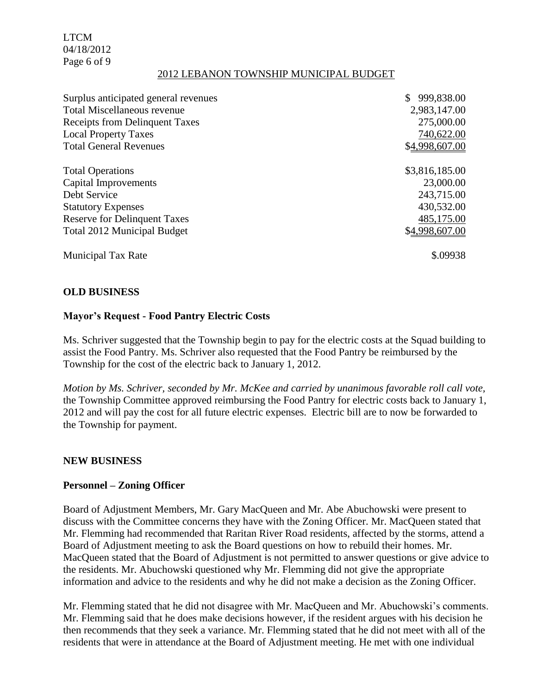LTCM 04/18/2012 Page 6 of 9

#### 2012 LEBANON TOWNSHIP MUNICIPAL BUDGET

| Surplus anticipated general revenues | 999,838.00     |
|--------------------------------------|----------------|
| <b>Total Miscellaneous revenue</b>   | 2,983,147.00   |
| Receipts from Delinquent Taxes       | 275,000.00     |
| <b>Local Property Taxes</b>          | 740,622.00     |
| <b>Total General Revenues</b>        | \$4,998,607.00 |
| <b>Total Operations</b>              | \$3,816,185.00 |
| Capital Improvements                 | 23,000.00      |
| Debt Service                         | 243,715.00     |
| <b>Statutory Expenses</b>            | 430,532.00     |
| <b>Reserve for Delinquent Taxes</b>  | 485,175.00     |
| <b>Total 2012 Municipal Budget</b>   | \$4,998,607.00 |
| <b>Municipal Tax Rate</b>            | \$.09938       |

#### **OLD BUSINESS**

#### **Mayor's Request - Food Pantry Electric Costs**

Ms. Schriver suggested that the Township begin to pay for the electric costs at the Squad building to assist the Food Pantry. Ms. Schriver also requested that the Food Pantry be reimbursed by the Township for the cost of the electric back to January 1, 2012.

*Motion by Ms. Schriver, seconded by Mr. McKee and carried by unanimous favorable roll call vote,* the Township Committee approved reimbursing the Food Pantry for electric costs back to January 1, 2012 and will pay the cost for all future electric expenses. Electric bill are to now be forwarded to the Township for payment.

#### **NEW BUSINESS**

#### **Personnel – Zoning Officer**

Board of Adjustment Members, Mr. Gary MacQueen and Mr. Abe Abuchowski were present to discuss with the Committee concerns they have with the Zoning Officer. Mr. MacQueen stated that Mr. Flemming had recommended that Raritan River Road residents, affected by the storms, attend a Board of Adjustment meeting to ask the Board questions on how to rebuild their homes. Mr. MacQueen stated that the Board of Adjustment is not permitted to answer questions or give advice to the residents. Mr. Abuchowski questioned why Mr. Flemming did not give the appropriate information and advice to the residents and why he did not make a decision as the Zoning Officer.

Mr. Flemming stated that he did not disagree with Mr. MacQueen and Mr. Abuchowski's comments. Mr. Flemming said that he does make decisions however, if the resident argues with his decision he then recommends that they seek a variance. Mr. Flemming stated that he did not meet with all of the residents that were in attendance at the Board of Adjustment meeting. He met with one individual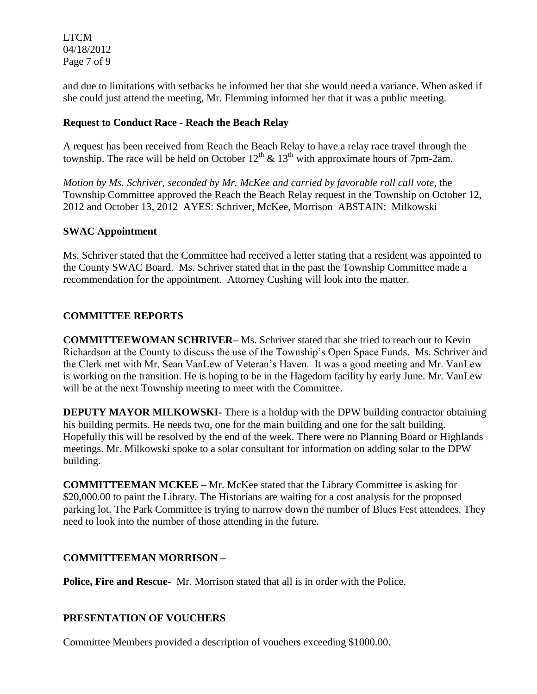LTCM 04/18/2012 Page 7 of 9

and due to limitations with setbacks he informed her that she would need a variance. When asked if she could just attend the meeting, Mr. Flemming informed her that it was a public meeting.

# **Request to Conduct Race - Reach the Beach Relay**

A request has been received from Reach the Beach Relay to have a relay race travel through the township. The race will be held on October  $12^{th}$  &  $13^{th}$  with approximate hours of 7pm-2am.

*Motion by Ms. Schriver, seconded by Mr. McKee and carried by favorable roll call vote,* the Township Committee approved the Reach the Beach Relay request in the Township on October 12, 2012 and October 13, 2012 AYES: Schriver, McKee, Morrison ABSTAIN: Milkowski

# **SWAC Appointment**

Ms. Schriver stated that the Committee had received a letter stating that a resident was appointed to the County SWAC Board. Ms. Schriver stated that in the past the Township Committee made a recommendation for the appointment. Attorney Cushing will look into the matter.

# **COMMITTEE REPORTS**

**COMMITTEEWOMAN SCHRIVER–** Ms. Schriver stated that she tried to reach out to Kevin Richardson at the County to discuss the use of the Township's Open Space Funds. Ms. Schriver and the Clerk met with Mr. Sean VanLew of Veteran's Haven. It was a good meeting and Mr. VanLew is working on the transition. He is hoping to be in the Hagedorn facility by early June. Mr. VanLew will be at the next Township meeting to meet with the Committee.

**DEPUTY MAYOR MILKOWSKI-** There is a holdup with the DPW building contractor obtaining his building permits. He needs two, one for the main building and one for the salt building. Hopefully this will be resolved by the end of the week. There were no Planning Board or Highlands meetings. Mr. Milkowski spoke to a solar consultant for information on adding solar to the DPW building.

**COMMITTEEMAN MCKEE –** Mr. McKee stated that the Library Committee is asking for \$20,000.00 to paint the Library. The Historians are waiting for a cost analysis for the proposed parking lot. The Park Committee is trying to narrow down the number of Blues Fest attendees. They need to look into the number of those attending in the future.

# **COMMITTEEMAN MORRISON –**

**Police, Fire and Rescue-** Mr. Morrison stated that all is in order with the Police.

# **PRESENTATION OF VOUCHERS**

Committee Members provided a description of vouchers exceeding \$1000.00.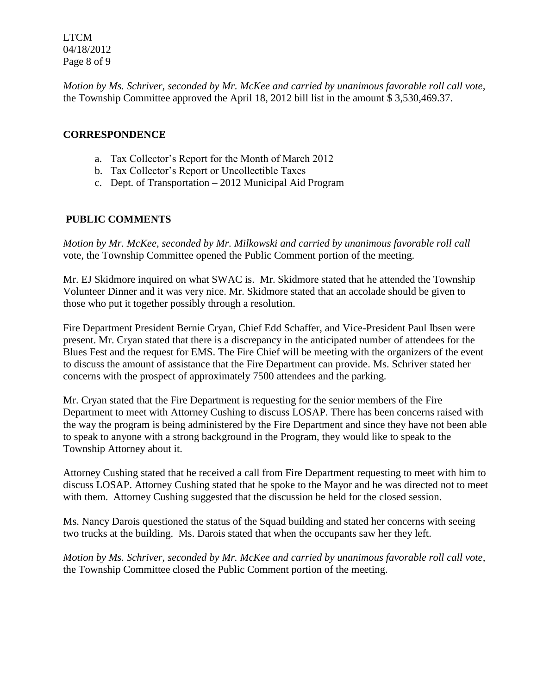LTCM 04/18/2012 Page 8 of 9

*Motion by Ms. Schriver, seconded by Mr. McKee and carried by unanimous favorable roll call vote,* the Township Committee approved the April 18, 2012 bill list in the amount \$ 3,530,469.37.

## **CORRESPONDENCE**

- a. Tax Collector's Report for the Month of March 2012
- b. Tax Collector's Report or Uncollectible Taxes
- c. Dept. of Transportation 2012 Municipal Aid Program

# **PUBLIC COMMENTS**

*Motion by Mr. McKee, seconded by Mr. Milkowski and carried by unanimous favorable roll call*  vote, the Township Committee opened the Public Comment portion of the meeting.

Mr. EJ Skidmore inquired on what SWAC is. Mr. Skidmore stated that he attended the Township Volunteer Dinner and it was very nice. Mr. Skidmore stated that an accolade should be given to those who put it together possibly through a resolution.

Fire Department President Bernie Cryan, Chief Edd Schaffer, and Vice-President Paul Ibsen were present. Mr. Cryan stated that there is a discrepancy in the anticipated number of attendees for the Blues Fest and the request for EMS. The Fire Chief will be meeting with the organizers of the event to discuss the amount of assistance that the Fire Department can provide. Ms. Schriver stated her concerns with the prospect of approximately 7500 attendees and the parking.

Mr. Cryan stated that the Fire Department is requesting for the senior members of the Fire Department to meet with Attorney Cushing to discuss LOSAP. There has been concerns raised with the way the program is being administered by the Fire Department and since they have not been able to speak to anyone with a strong background in the Program, they would like to speak to the Township Attorney about it.

Attorney Cushing stated that he received a call from Fire Department requesting to meet with him to discuss LOSAP. Attorney Cushing stated that he spoke to the Mayor and he was directed not to meet with them. Attorney Cushing suggested that the discussion be held for the closed session.

Ms. Nancy Darois questioned the status of the Squad building and stated her concerns with seeing two trucks at the building. Ms. Darois stated that when the occupants saw her they left.

*Motion by Ms. Schriver, seconded by Mr. McKee and carried by unanimous favorable roll call vote,* the Township Committee closed the Public Comment portion of the meeting.